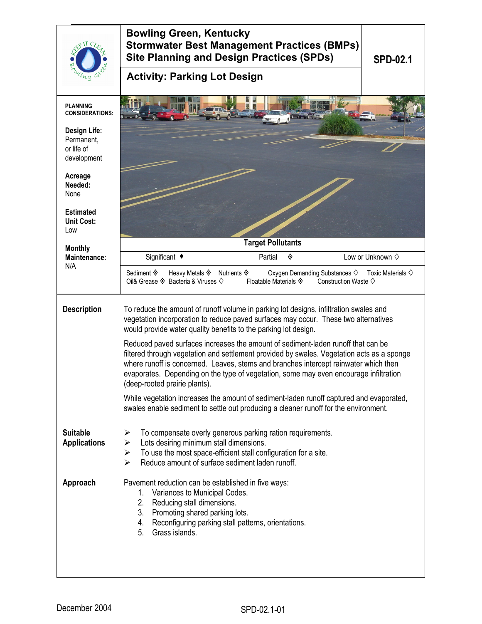|                                                                | <b>Bowling Green, Kentucky</b><br><b>Stormwater Best Management Practices (BMPs)</b><br><b>Site Planning and Design Practices (SPDs)</b><br><b>SPD-02.1</b>                                                                                                                                                                                                                                                                                                                                                                                                                                                                                         |  |  |
|----------------------------------------------------------------|-----------------------------------------------------------------------------------------------------------------------------------------------------------------------------------------------------------------------------------------------------------------------------------------------------------------------------------------------------------------------------------------------------------------------------------------------------------------------------------------------------------------------------------------------------------------------------------------------------------------------------------------------------|--|--|
|                                                                | <b>Activity: Parking Lot Design</b>                                                                                                                                                                                                                                                                                                                                                                                                                                                                                                                                                                                                                 |  |  |
| <b>PLANNING</b><br><b>CONSIDERATIONS:</b>                      |                                                                                                                                                                                                                                                                                                                                                                                                                                                                                                                                                                                                                                                     |  |  |
| <b>Design Life:</b><br>Permanent,<br>or life of<br>development |                                                                                                                                                                                                                                                                                                                                                                                                                                                                                                                                                                                                                                                     |  |  |
| Acreage<br>Needed:<br>None                                     |                                                                                                                                                                                                                                                                                                                                                                                                                                                                                                                                                                                                                                                     |  |  |
| <b>Estimated</b><br><b>Unit Cost:</b><br>Low                   |                                                                                                                                                                                                                                                                                                                                                                                                                                                                                                                                                                                                                                                     |  |  |
| <b>Monthly</b>                                                 | <b>Target Pollutants</b>                                                                                                                                                                                                                                                                                                                                                                                                                                                                                                                                                                                                                            |  |  |
| <b>Maintenance:</b><br>N/A                                     | Significant ◆<br>Low or Unknown $\diamond$<br>Partial<br>◈                                                                                                                                                                                                                                                                                                                                                                                                                                                                                                                                                                                          |  |  |
|                                                                | Sediment ♦<br>Heavy Metals $\Diamond$ Nutrients $\Diamond$<br>Oxygen Demanding Substances $\diamond$ Toxic Materials $\diamond$<br>Oil& Grease $\Diamond$ Bacteria & Viruses $\Diamond$<br>Floatable Materials $\hat{\mathbf{\diamond}}$<br>Construction Waste $\diamondsuit$                                                                                                                                                                                                                                                                                                                                                                       |  |  |
| <b>Description</b>                                             | To reduce the amount of runoff volume in parking lot designs, infiltration swales and<br>vegetation incorporation to reduce paved surfaces may occur. These two alternatives<br>would provide water quality benefits to the parking lot design.<br>Reduced paved surfaces increases the amount of sediment-laden runoff that can be<br>filtered through vegetation and settlement provided by swales. Vegetation acts as a sponge<br>where runoff is concerned. Leaves, stems and branches intercept rainwater which then<br>evaporates. Depending on the type of vegetation, some may even encourage infiltration<br>(deep-rooted prairie plants). |  |  |
|                                                                |                                                                                                                                                                                                                                                                                                                                                                                                                                                                                                                                                                                                                                                     |  |  |
|                                                                | While vegetation increases the amount of sediment-laden runoff captured and evaporated,<br>swales enable sediment to settle out producing a cleaner runoff for the environment.                                                                                                                                                                                                                                                                                                                                                                                                                                                                     |  |  |
| <b>Suitable</b><br><b>Applications</b>                         | To compensate overly generous parking ration requirements.<br>➤<br>➤<br>Lots desiring minimum stall dimensions.<br>To use the most space-efficient stall configuration for a site.<br>$\blacktriangleright$<br>$\blacktriangleright$<br>Reduce amount of surface sediment laden runoff.                                                                                                                                                                                                                                                                                                                                                             |  |  |
| Approach                                                       | Pavement reduction can be established in five ways:<br>Variances to Municipal Codes.<br>1.<br>Reducing stall dimensions.<br>2.<br>Promoting shared parking lots.<br>3.<br>Reconfiguring parking stall patterns, orientations.<br>4.<br>Grass islands.<br>5.                                                                                                                                                                                                                                                                                                                                                                                         |  |  |